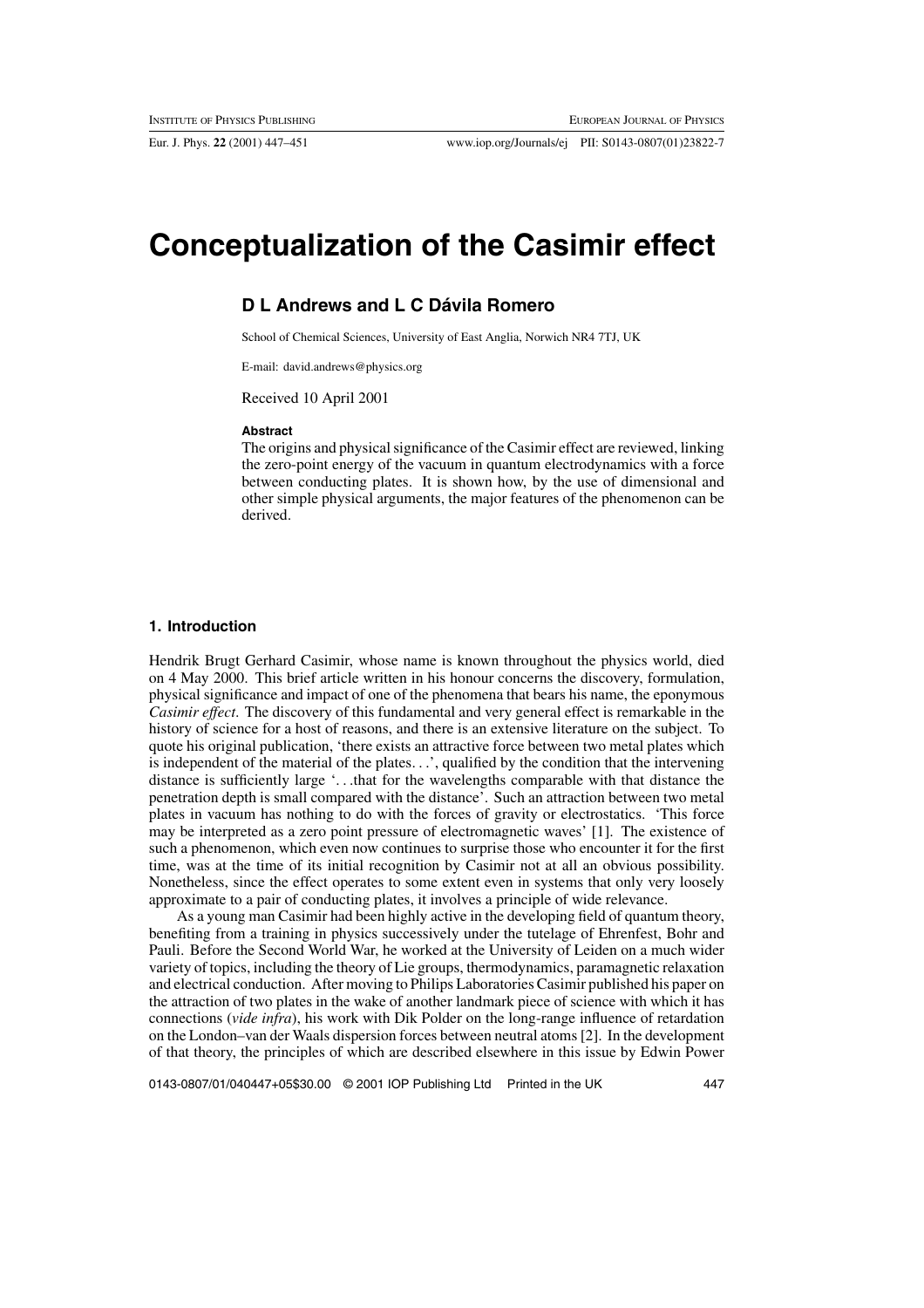Eur. J. Phys. **22** (2001) 447–451 www.iop.org/Journals/ej PII: S0143-0807(01)23822-7

# **Conceptualization of the Casimir effect**

## **D L Andrews and L C Dávila Romero**

School of Chemical Sciences, University of East Anglia, Norwich NR4 7TJ, UK

E-mail: david.andrews@physics.org

Received 10 April 2001

#### **Abstract**

The origins and physical significance of the Casimir effect are reviewed, linking the zero-point energy of the vacuum in quantum electrodynamics with a force between conducting plates. It is shown how, by the use of dimensional and other simple physical arguments, the major features of the phenomenon can be derived.

#### **1. Introduction**

Hendrik Brugt Gerhard Casimir, whose name is known throughout the physics world, died on 4 May 2000. This brief article written in his honour concerns the discovery, formulation, physical significance and impact of one of the phenomena that bears his name, the eponymous *Casimir effect*. The discovery of this fundamental and very general effect is remarkable in the history of science for a host of reasons, and there is an extensive literature on the subject. To quote his original publication, 'there exists an attractive force between two metal plates which is independent of the material of the plates...', qualified by the condition that the intervening distance is sufficiently large '...that for the wavelengths comparable with that distance the penetration depth is small compared with the distance'. Such an attraction between two metal plates in vacuum has nothing to do with the forces of gravity or electrostatics. 'This force may be interpreted as a zero point pressure of electromagnetic waves' [1]. The existence of such a phenomenon, which even now continues to surprise those who encounter it for the first time, was at the time of its initial recognition by Casimir not at all an obvious possibility. Nonetheless, since the effect operates to some extent even in systems that only very loosely approximate to a pair of conducting plates, it involves a principle of wide relevance.

As a young man Casimir had been highly active in the developing field of quantum theory, benefiting from a training in physics successively under the tutelage of Ehrenfest, Bohr and Pauli. Before the Second World War, he worked at the University of Leiden on a much wider variety of topics, including the theory of Lie groups, thermodynamics, paramagnetic relaxation and electrical conduction. After moving to Philips Laboratories Casimir published his paper on the attraction of two plates in the wake of another landmark piece of science with which it has connections (*vide infra*), his work with Dik Polder on the long-range influence of retardation on the London–van der Waals dispersion forces between neutral atoms [2]. In the development of that theory, the principles of which are described elsewhere in this issue by Edwin Power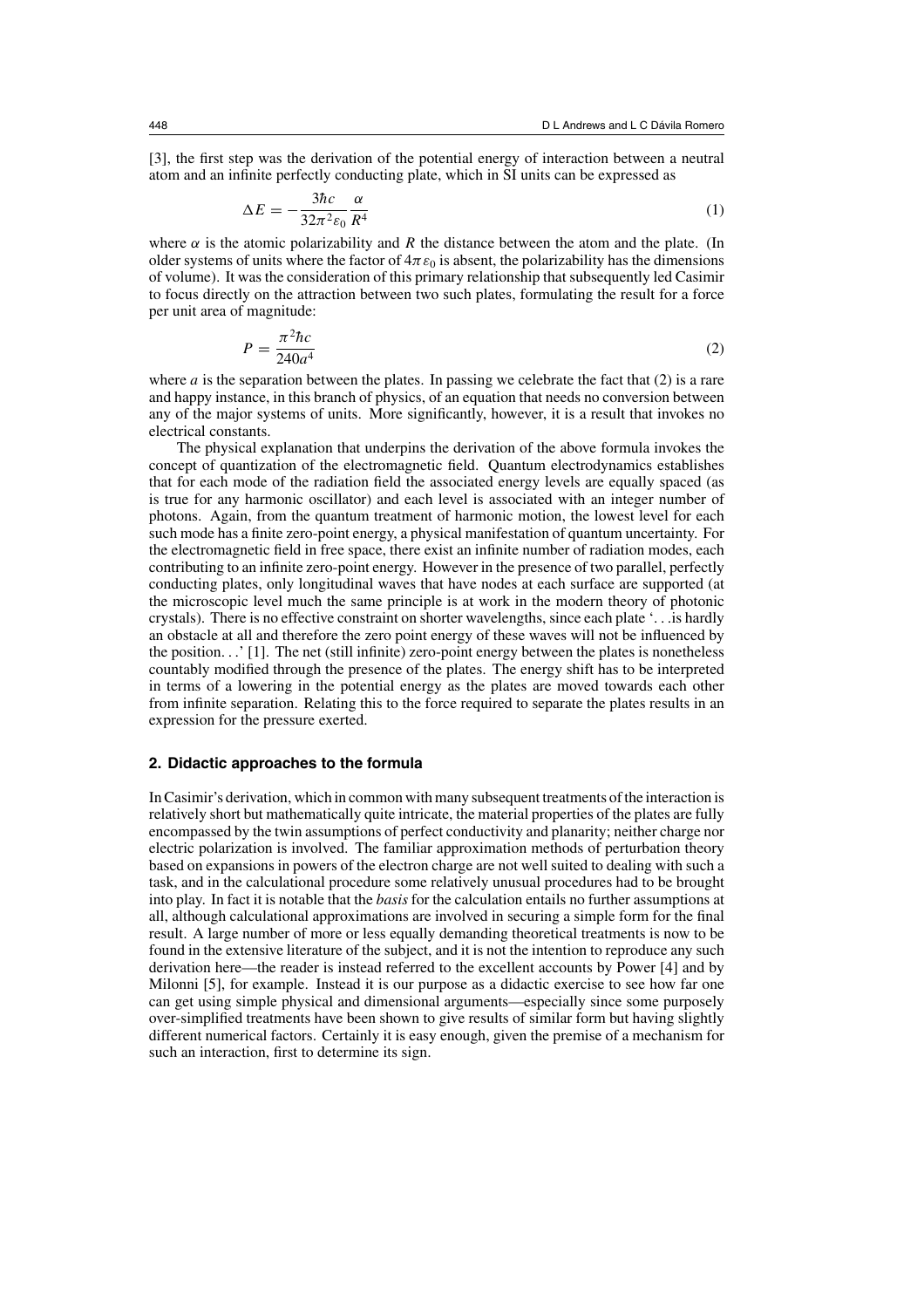[3], the first step was the derivation of the potential energy of interaction between a neutral atom and an infinite perfectly conducting plate, which in SI units can be expressed as

$$
\Delta E = -\frac{3\hbar c}{32\pi^2 \varepsilon_0} \frac{\alpha}{R^4} \tag{1}
$$

where  $\alpha$  is the atomic polarizability and R the distance between the atom and the plate. (In older systems of units where the factor of  $4\pi\epsilon_0$  is absent, the polarizability has the dimensions of volume). It was the consideration of this primary relationship that subsequently led Casimir to focus directly on the attraction between two such plates, formulating the result for a force per unit area of magnitude:

$$
P = \frac{\pi^2 \hbar c}{240a^4} \tag{2}
$$

where a is the separation between the plates. In passing we celebrate the fact that  $(2)$  is a rare and happy instance, in this branch of physics, of an equation that needs no conversion between any of the major systems of units. More significantly, however, it is a result that invokes no electrical constants.

The physical explanation that underpins the derivation of the above formula invokes the concept of quantization of the electromagnetic field. Quantum electrodynamics establishes that for each mode of the radiation field the associated energy levels are equally spaced (as is true for any harmonic oscillator) and each level is associated with an integer number of photons. Again, from the quantum treatment of harmonic motion, the lowest level for each such mode has a finite zero-point energy, a physical manifestation of quantum uncertainty. For the electromagnetic field in free space, there exist an infinite number of radiation modes, each contributing to an infinite zero-point energy. However in the presence of two parallel, perfectly conducting plates, only longitudinal waves that have nodes at each surface are supported (at the microscopic level much the same principle is at work in the modern theory of photonic crystals). There is no effective constraint on shorter wavelengths, since each plate '...is hardly an obstacle at all and therefore the zero point energy of these waves will not be influenced by the position...' [1]. The net (still infinite) zero-point energy between the plates is nonetheless countably modified through the presence of the plates. The energy shift has to be interpreted in terms of a lowering in the potential energy as the plates are moved towards each other from infinite separation. Relating this to the force required to separate the plates results in an expression for the pressure exerted.

### **2. Didactic approaches to the formula**

In Casimir's derivation, which in common with many subsequent treatments of the interaction is relatively short but mathematically quite intricate, the material properties of the plates are fully encompassed by the twin assumptions of perfect conductivity and planarity; neither charge nor electric polarization is involved. The familiar approximation methods of perturbation theory based on expansions in powers of the electron charge are not well suited to dealing with such a task, and in the calculational procedure some relatively unusual procedures had to be brought into play. In fact it is notable that the *basis* for the calculation entails no further assumptions at all, although calculational approximations are involved in securing a simple form for the final result. A large number of more or less equally demanding theoretical treatments is now to be found in the extensive literature of the subject, and it is not the intention to reproduce any such derivation here—the reader is instead referred to the excellent accounts by Power [4] and by Milonni [5], for example. Instead it is our purpose as a didactic exercise to see how far one can get using simple physical and dimensional arguments—especially since some purposely over-simplified treatments have been shown to give results of similar form but having slightly different numerical factors. Certainly it is easy enough, given the premise of a mechanism for such an interaction, first to determine its sign.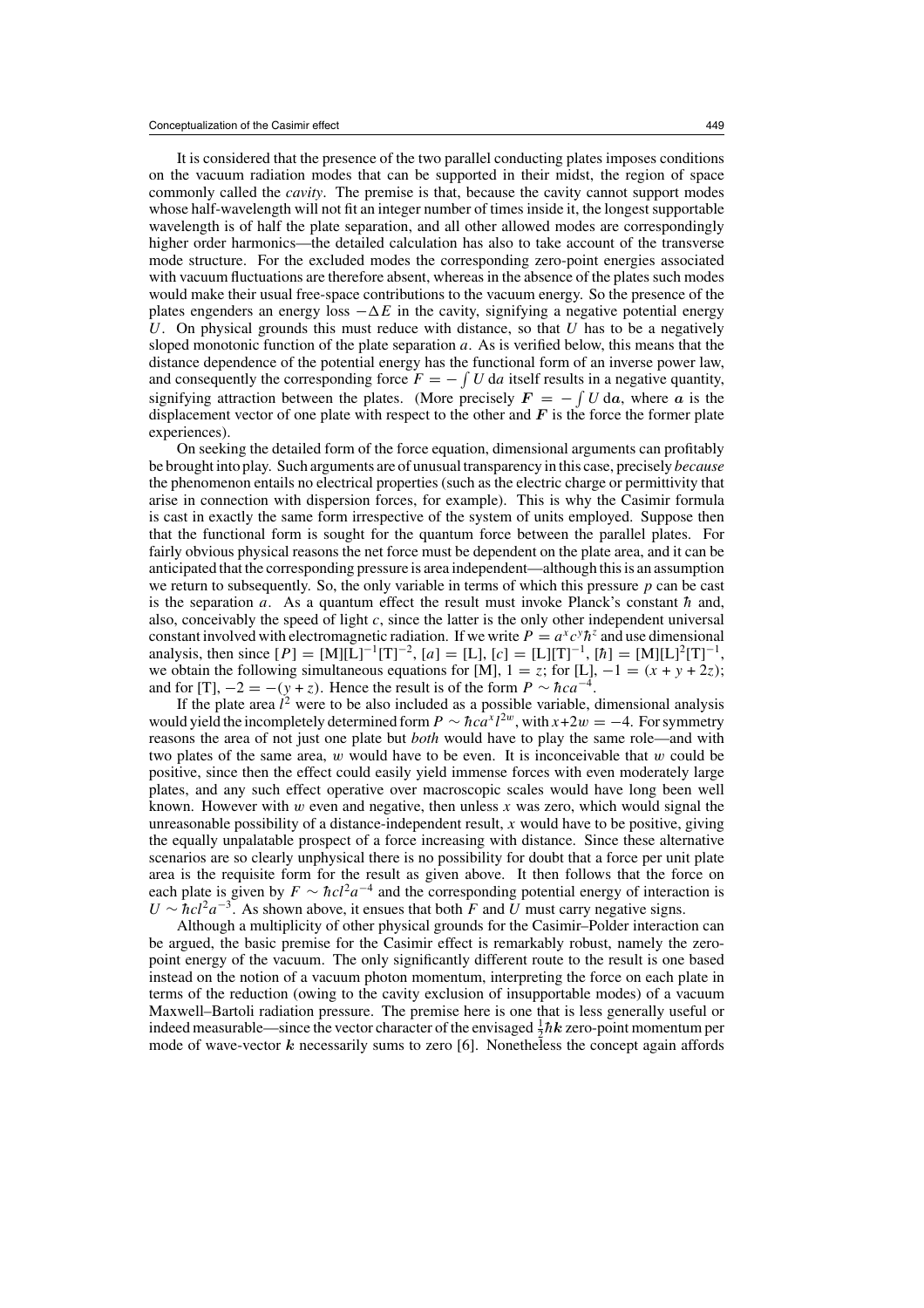It is considered that the presence of the two parallel conducting plates imposes conditions on the vacuum radiation modes that can be supported in their midst, the region of space commonly called the *cavity*. The premise is that, because the cavity cannot support modes whose half-wavelength will not fit an integer number of times inside it, the longest supportable wavelength is of half the plate separation, and all other allowed modes are correspondingly higher order harmonics—the detailed calculation has also to take account of the transverse mode structure. For the excluded modes the corresponding zero-point energies associated with vacuum fluctuations are therefore absent, whereas in the absence of the plates such modes would make their usual free-space contributions to the vacuum energy. So the presence of the plates engenders an energy loss  $-\Delta E$  in the cavity, signifying a negative potential energy U. On physical grounds this must reduce with distance, so that  $U$  has to be a negatively sloped monotonic function of the plate separation  $a$ . As is verified below, this means that the distance dependence of the potential energy has the functional form of an inverse power law, and consequently the corresponding force  $F = -\int U \, d\alpha$  itself results in a negative quantity, signifying attraction between the plates. (More precisely  $F = -\int U \, da$ , where *a* is the displacement vector of one plate with respect to the other and  $\boldsymbol{F}$  is the force the former plate experiences).

On seeking the detailed form of the force equation, dimensional arguments can profitably be brought into play. Such arguments are of unusual transparency in this case, precisely *because* the phenomenon entails no electrical properties (such as the electric charge or permittivity that arise in connection with dispersion forces, for example). This is why the Casimir formula is cast in exactly the same form irrespective of the system of units employed. Suppose then that the functional form is sought for the quantum force between the parallel plates. For fairly obvious physical reasons the net force must be dependent on the plate area, and it can be anticipated that the corresponding pressure is area independent—although this is an assumption we return to subsequently. So, the only variable in terms of which this pressure  $p$  can be cast is the separation a. As a quantum effect the result must invoke Planck's constant  $\hbar$  and, also, conceivably the speed of light  $c$ , since the latter is the only other independent universal constant involved with electromagnetic radiation. If we write  $P = a^x c^y h^z$  and use dimensional analysis, then since  $[P] = [M][\tilde{L}]^{-1}[T]^{-2}$ ,  $[a] = [L]$ ,  $[c] = [L][T]^{-1}$ ,  $[\hbar] = [M][L]^2[T]^{-1}$ , we obtain the following simultaneous equations for [M],  $1 = z$ ; for [L],  $-1 = (x + y + 2z)$ ; and for [T],  $-2 = -(y + z)$ . Hence the result is of the form  $P \sim \hbar c a^{-4}$ .

If the plate area  $l^2$  were to be also included as a possible variable, dimensional analysis would yield the incompletely determined form  $P \sim \hbar c a^{x} l^{2w}$ , with  $x+2w = -4$ . For symmetry reasons the area of not just one plate but *both* would have to play the same role—and with two plates of the same area,  $w$  would have to be even. It is inconceivable that  $w$  could be positive, since then the effect could easily yield immense forces with even moderately large plates, and any such effect operative over macroscopic scales would have long been well known. However with w even and negative, then unless x was zero, which would signal the unreasonable possibility of a distance-independent result,  $x$  would have to be positive, giving the equally unpalatable prospect of a force increasing with distance. Since these alternative scenarios are so clearly unphysical there is no possibility for doubt that a force per unit plate area is the requisite form for the result as given above. It then follows that the force on each plate is given by  $F \sim \hbar c l^2 a^{-4}$  and the corresponding potential energy of interaction is  $U \sim \frac{hc l^2 a^{-3}}{2}$ . As shown above, it ensues that both F and U must carry negative signs.

Although a multiplicity of other physical grounds for the Casimir–Polder interaction can be argued, the basic premise for the Casimir effect is remarkably robust, namely the zeropoint energy of the vacuum. The only significantly different route to the result is one based instead on the notion of a vacuum photon momentum, interpreting the force on each plate in terms of the reduction (owing to the cavity exclusion of insupportable modes) of a vacuum Maxwell–Bartoli radiation pressure. The premise here is one that is less generally useful or indeed measurable—since the vector character of the envisaged  $\frac{1}{2}\hbar k$  zero-point momentum per mode of wave-vector *k* necessarily sums to zero [6]. Nonetheless the concept again affords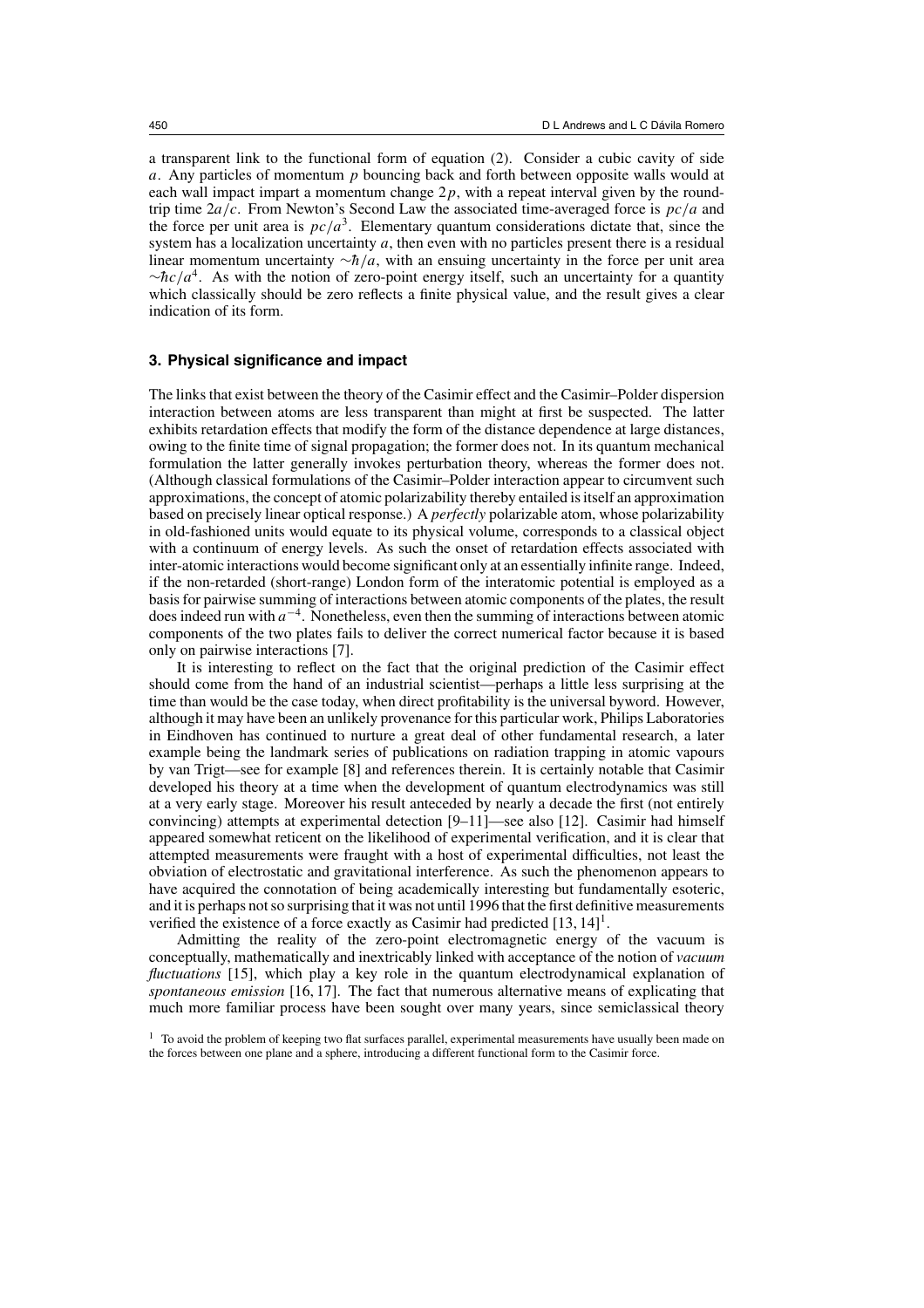a transparent link to the functional form of equation (2). Consider a cubic cavity of side a. Any particles of momentum  $p$  bouncing back and forth between opposite walls would at each wall impact impart a momentum change  $2p$ , with a repeat interval given by the roundtrip time  $2a/c$ . From Newton's Second Law the associated time-averaged force is  $pc/a$  and the force per unit area is  $pc/a^3$ . Elementary quantum considerations dictate that, since the system has a localization uncertainty  $a$ , then even with no particles present there is a residual linear momentum uncertainty  $\neg \hbar / a$ , with an ensuing uncertainty in the force per unit area  $~\sim \frac{hc}{a^4}$ . As with the notion of zero-point energy itself, such an uncertainty for a quantity which classically should be zero reflects a finite physical value, and the result gives a clear indication of its form.

### **3. Physical significance and impact**

The links that exist between the theory of the Casimir effect and the Casimir–Polder dispersion interaction between atoms are less transparent than might at first be suspected. The latter exhibits retardation effects that modify the form of the distance dependence at large distances, owing to the finite time of signal propagation; the former does not. In its quantum mechanical formulation the latter generally invokes perturbation theory, whereas the former does not. (Although classical formulations of the Casimir–Polder interaction appear to circumvent such approximations, the concept of atomic polarizability thereby entailed is itself an approximation based on precisely linear optical response.) A *perfectly* polarizable atom, whose polarizability in old-fashioned units would equate to its physical volume, corresponds to a classical object with a continuum of energy levels. As such the onset of retardation effects associated with inter-atomic interactions would become significant only at an essentially infinite range. Indeed, if the non-retarded (short-range) London form of the interatomic potential is employed as a basis for pairwise summing of interactions between atomic components of the plates, the result does indeed run with  $a^{-4}$ . Nonetheless, even then the summing of interactions between atomic components of the two plates fails to deliver the correct numerical factor because it is based only on pairwise interactions [7].

It is interesting to reflect on the fact that the original prediction of the Casimir effect should come from the hand of an industrial scientist—perhaps a little less surprising at the time than would be the case today, when direct profitability is the universal byword. However, although it may have been an unlikely provenance for this particular work, Philips Laboratories in Eindhoven has continued to nurture a great deal of other fundamental research, a later example being the landmark series of publications on radiation trapping in atomic vapours by van Trigt—see for example [8] and references therein. It is certainly notable that Casimir developed his theory at a time when the development of quantum electrodynamics was still at a very early stage. Moreover his result anteceded by nearly a decade the first (not entirely convincing) attempts at experimental detection [9–11]—see also [12]. Casimir had himself appeared somewhat reticent on the likelihood of experimental verification, and it is clear that attempted measurements were fraught with a host of experimental difficulties, not least the obviation of electrostatic and gravitational interference. As such the phenomenon appears to have acquired the connotation of being academically interesting but fundamentally esoteric, and it is perhaps not so surprising that it was not until 1996 that the first definitive measurements verified the existence of a force exactly as Casimir had predicted  $[13, 14]$ <sup>1</sup>.

Admitting the reality of the zero-point electromagnetic energy of the vacuum is conceptually, mathematically and inextricably linked with acceptance of the notion of *vacuum fluctuations* [15], which play a key role in the quantum electrodynamical explanation of *spontaneous emission* [16, 17]. The fact that numerous alternative means of explicating that much more familiar process have been sought over many years, since semiclassical theory

<sup>&</sup>lt;sup>1</sup> To avoid the problem of keeping two flat surfaces parallel, experimental measurements have usually been made on the forces between one plane and a sphere, introducing a different functional form to the Casimir force.